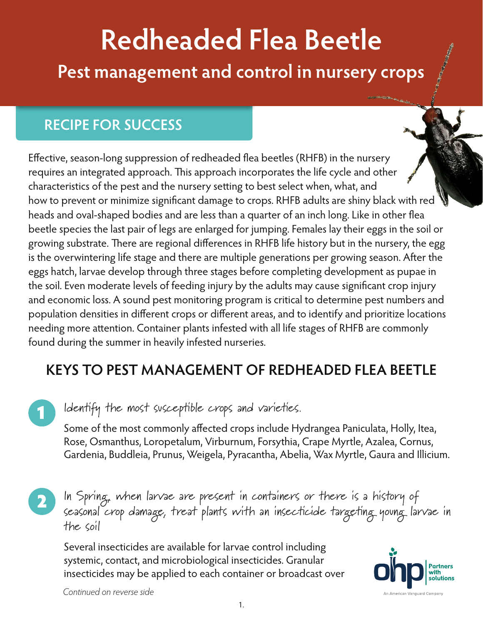# **Redheaded Flea Beetle Pest management and control in nursery crops**

## **RECIPE FOR SUCCESS**

Effective, season-long suppression of redheaded flea beetles (RHFB) in the nursery requires an integrated approach. This approach incorporates the life cycle and other characteristics of the pest and the nursery setting to best select when, what, and how to prevent or minimize significant damage to crops. RHFB adults are shiny black with red heads and oval-shaped bodies and are less than a quarter of an inch long. Like in other flea beetle species the last pair of legs are enlarged for jumping. Females lay their eggs in the soil or growing substrate. There are regional differences in RHFB life history but in the nursery, the egg is the overwintering life stage and there are multiple generations per growing season. After the eggs hatch, larvae develop through three stages before completing development as pupae in the soil. Even moderate levels of feeding injury by the adults may cause significant crop injury and economic loss. A sound pest monitoring program is critical to determine pest numbers and population densities in different crops or different areas, and to identify and prioritize locations needing more attention. Container plants infested with all life stages of RHFB are commonly found during the summer in heavily infested nurseries.

# **KEYS TO PEST MANAGEMENT OF REDHEADED FLEA BEETLE**

### Identify the most susceptible crops and varieties.

Some of the most commonly affected crops include Hydrangea Paniculata, Holly, Itea, Rose, Osmanthus, Loropetalum, Virburnum, Forsythia, Crape Myrtle, Azalea, Cornus, Gardenia, Buddleia, Prunus, Weigela, Pyracantha, Abelia, Wax Myrtle, Gaura and Illicium.

In Spring, when larvae are present in containers or there is a history of seasonal crop damage, treat plants with an insecticide targeting young larvae in the soil 2

Several insecticides are available for larvae control including systemic, contact, and microbiological insecticides. Granular insecticides may be applied to each container or broadcast over



*Continued on reverse side*

1